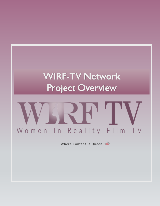# **WIRF-TV Network** Project Overview

# Women In Reality Film TV

Where Content is Queen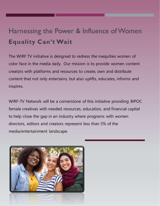# Harnessing the Power & Influence of Women **Equality Can't Wait**

The WIRF TV initiative is designed to redress the inequities women of color face in the media daily. Our mission is to provide women content creators with platforms and resources to create, own and distribute content that not only entertains, but also uplifts, educates, informs and inspires.

WIRF-TV Network will be a cornerstone of this initiative providing BIPOC female creatives with needed resources, education, and financial capital to help close the gap in an industry where programs with women directors, editors and creators represent less than 5% of the media/entertainment landscape.

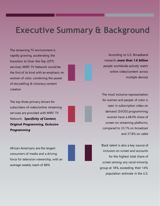## **Executive Summary & Background**

The streaming TV environment is rapidly growing, accelerating the transition to Over-the-Top (OTT) services; WIRF-TV Network would be the first of its kind with an emphasis on women of color, combining the power of storytelling & visionary content creation

The top three primary drivers for subscribers of video/online streaming services are provided with WIRF-TV Network: *Specificity of Content, Original Programming, Exclusive Programming* 

African Americans are the largest consumers of media and a driving force for television viewership, with an average weekly reach of 88%

According to U.S. Broadband research, *more than 1.6 billion* people worldwide actively watch online video/content across multiple devices

The most inclusive representation for women and people of color is seen in subscription video on demand (SVOD) programming; women have a 48.9% share of screen on streaming platforms, compared to 33.1% on broadcast and 37.8% on cable

Black talent is also a key source of inclusion on screen and accounts for the highest total share of screen among any racial minority group at 18%, exceeding their 14% population estimate in the U.S.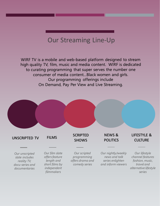### Our Streaming Line-Up

WIRF TV is a mobile and web-based platform designed to stream high quality TV, film, music and media content. WIRF is dedicated to curating programming that super serves the number one consumer of media content...Black women and girls. Our programming offerings include On Demand, Pay Per View and Live Streaming.

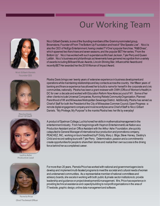# Our Working Team



Nicci Gilbert-Daniels Founder CEO



Ptosha Davis Chief Of Staff



Luchia Ashe Production Lead

Nicci Gilbert-Daniels, is one of the founding members of the Grammy nominated group, Brownstone, Founder of From The Bottom Up Foundation and host of "She Speaks Live". Nicci is also the CEO of NoEgo Entertainment, having created TV One's popular franchise, "R&B Divas", which spawned two franchises and seven seasons, and the popular BETHer series, "From the Bottom Up". Nicci has worked with such superstars as Michael Jackson, Tyler Perry and Queen Latifah. Nicci's business and philanthropic achievements have garnered recognition from a variety of awards including Billboard Music Awards, Lincoln Shining Star, InfluenceHer Awards and recently BETHer awarded her the 2018 Woman of Impact Award.

Ptosha Davis brings over twenty years of extensive experience in business development and operations while maintaining relationships and key contacts across the country. Her fifteen years of banking and finance experience has allowed her to build a name for herself in the corporate and civic communities, nationally. Ptosha has been a grant reviewer with OWH (Office of Women's Health) in DC for over a decade and worked with Education Reform Now Advocacy out of NY. Some of her other clients include Universal Companies, Running Rebels Community Organization, Planned Parenthood of WI and Milwaukee Metropolitan Sewerage District. Additionally, Ptosha has served as Chief of Staff for both the President of the City of Milwaukee Common Council, Open Progress - a remote digital engagement company and most recently became Chief of Staff to Nicci Gilbert Daniels. "My Privilege, My Purpose" is the mantra Ptosha lives her life by everyday!

A product of Spelman College, Luchia honed her skills in mathematics/management in the entertainment industry. From her beginnings with Haymon Entertainment/Live Nation as a Production Assistant and an Office Assistant with the Arthur Ashe Foundation, she quickly catapulted to General Manager of international tour production and promotions company, PEACHEZ, INC, working on tours headlined by P Diddy, Mary J. Blige, Steve Harvey, Destiny's Child and record-setting tours with Tyler Perry. Determination, passion and a commitment to create opportunities for people to share their stories and realize their own success is the driving force behind her accomplished career.



Pamela Price Chief Technical Officer

For more than 20 years, Pamela Price has worked with national and government agencies to develop and implement multi-faceted programs to meet the societal and cultural needs of women and underserved communities. As a representative member of national committees and advisory boards, she excels in working with both public & private sector institutions to provide leadership and guidance on project development & management. Mrs. Price has experience in providing technical assistance and capacity building to nonprofit organizations in the area of IT/website, graphic design, online data management and software.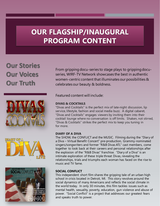### **OUR FLAGSHIP/INAUGURAL PROGRAM CONTENT**

**Our Stories Our Voices Our Truth**







From gripping docu-series to stage plays to gripping docuseries, WIRF-TV Network showcases the best in authentic women-centric content that illuminates our possibilities & celebrates our beauty & boldness.

Featured content will include:

#### **DIVAS & COCKTAILS**

"Divas and Cocktails" is the perfect mix of late-night discussion, lip service, lifestyle, fashion and social media buzz. A digital cabaret, "Divas and Cocktails" engages viewers by inviting them into their cocktail lounge where no conversation is off limits. Shaken, not stirred, "Divas & Cocktails" strikes the perfect mix to keep you tuning in for more.

#### **DIARY OF A DIVA**

The SHOW, the CONFLICT and the MUSIC. Filming during the "Diary of a Diva – Virtual Benefit Concert" pre-production, Grammy-nominated singers/songwriters and former "R&B Divas ATL" cast members, come together to look back at their careers and personal relationships after the explosion of the "R&B Divas" franchise. "Diary of a Diva" is an intimate exploration of these triple threat Divas, revealing the relationships, trials and triumphs each woman has faced on the rise to music and TV fame.

#### **SOCIAL CONFLICT**

This independent short film shares the gripping tale of an urban high school in crisis located in Detroit, MI. This story revolves around the social dynamics of many Americans and reflects the social climate in the world today. In only 30 minutes, this film tackles issues such as mental health, sexuality, poverty, education, gun violence and abuse of power. "Social Conflict" is a project that addresses our greatest fears and speaks truth to power.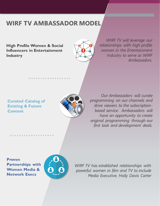### **WIRF TV AMBASSADOR MODEL**

. . . . . . . .

**High Profile Women & Social Influencers in Entertainment Industry**



*WIRF TV will leverage our relationships with high profile women in the Entertainment Industry to serve as WIRF Ambassadors.*

#### **Curated Catalog of Existing & Future Content**

. . . . . . . . . . . . . . . .



*Our Ambassadors will curate programming on our channels and drive viewers to the subscriptionbased service. Ambassadors will have an opportunity to create original programming through our first look and development deals.*

**Proven Partnerships with Women Media & Network Execs**



*WIRF TV has established relationships with powerful women in film and TV to include Media Executive, Holly Davis Carter*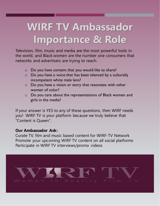# **WIRF TV Ambassador Importance & Role**

Television, film, music and media are the most powerful tools in the world, and Black women are the number one consumers that networks and advertisers are trying to reach.

- o Do you have content that you would like to share?
- o Do you have a voice that has been silenced by a culturally incompetent white male lens?
- o Do you have a vision or story that resonates with other women of color?
- o Do you care about the representations of Black women and girls in the media?

If your answer is YES to any of these questions, then WIRF needs you! WIRF TV is your platform because we truly believe that "Content is Queen".

#### **Our Ambassador Ask:**

Curate TV, film and music based content for WIRF-TV Network Promote your upcoming WIRF TV content on all social platforms Participate in WIRF TV interviews/promo videos

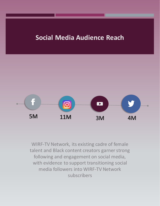### **Social Media Audience Reach**



WIRF-TV Network, its existing cadre of female talent and Black content creators garner strong following and engagement on social media, with evidence to support transitioning social media followers into WIRF-TV Network subscribers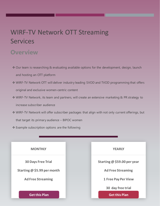### WIRF-TV Network OTT Streaming Services

### **Overview**

- ❖ Our team is researching & evaluating available options for the development, design, launch and hosting an OTT platform
- ❖ WIRF-TV Network OTT will deliver industry leading SVOD and TVOD programming that offers original and exclusive women-centric content
- ❖ WIRF-TV Network, its team and partners, will create an extensive marketing & PR strategy to increase subscriber audience
- ❖ WIRF-TV Network will offer subscriber packages that align with not only current offerings, but that target its primary audience – BIPOC women
- ❖ Example subscription options are the following

| <b>MONTHLY</b>              | <b>YEARLY</b>               |
|-----------------------------|-----------------------------|
| <b>30 Days Free Trial</b>   | Starting @ \$59.00 per year |
| Starting @ \$5.99 per month | <b>Ad Free Streaming</b>    |
| <b>Ad Free Streaming</b>    | <b>1 Free Pay Per View</b>  |
|                             | 30 day free trial           |
| <b>Get this Plan</b>        | <b>Get this Plan</b>        |